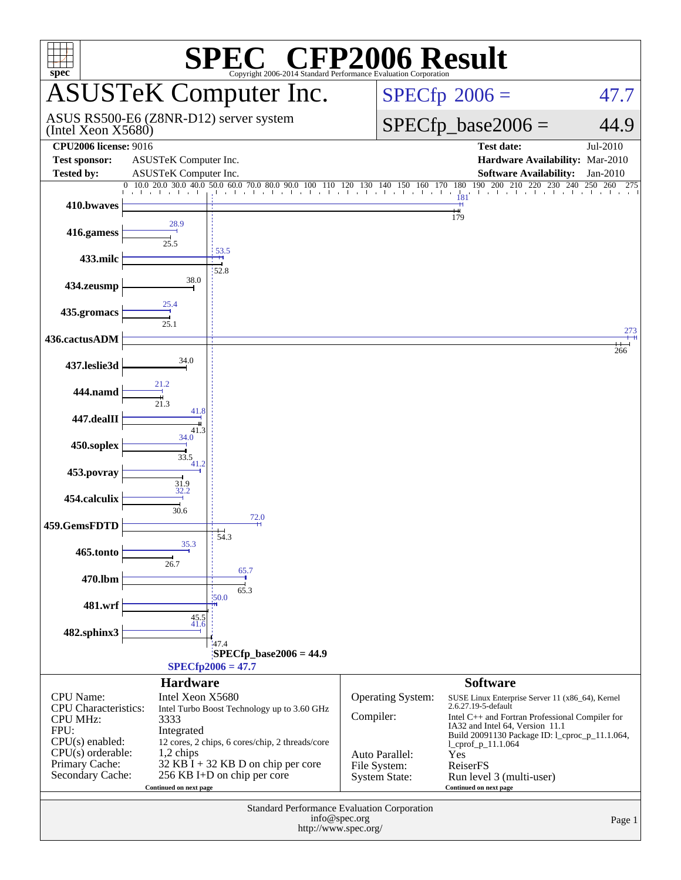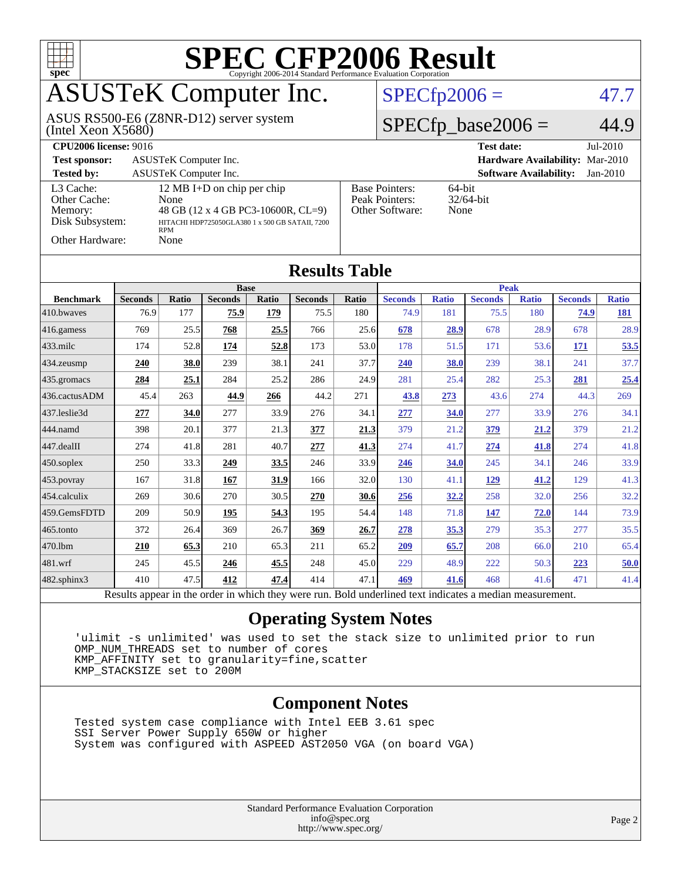

Results appear in the [order in which they were run.](http://www.spec.org/auto/cpu2006/Docs/result-fields.html#RunOrder) Bold underlined text [indicates a median measurement.](http://www.spec.org/auto/cpu2006/Docs/result-fields.html#Median)

#### **[Operating System Notes](http://www.spec.org/auto/cpu2006/Docs/result-fields.html#OperatingSystemNotes)**

 'ulimit -s unlimited' was used to set the stack size to unlimited prior to run OMP NUM THREADS set to number of cores KMP\_AFFINITY set to granularity=fine,scatter KMP\_STACKSIZE set to 200M

#### **[Component Notes](http://www.spec.org/auto/cpu2006/Docs/result-fields.html#ComponentNotes)**

 Tested system case compliance with Intel EEB 3.61 spec SSI Server Power Supply 650W or higher System was configured with ASPEED AST2050 VGA (on board VGA)

> Standard Performance Evaluation Corporation [info@spec.org](mailto:info@spec.org) <http://www.spec.org/>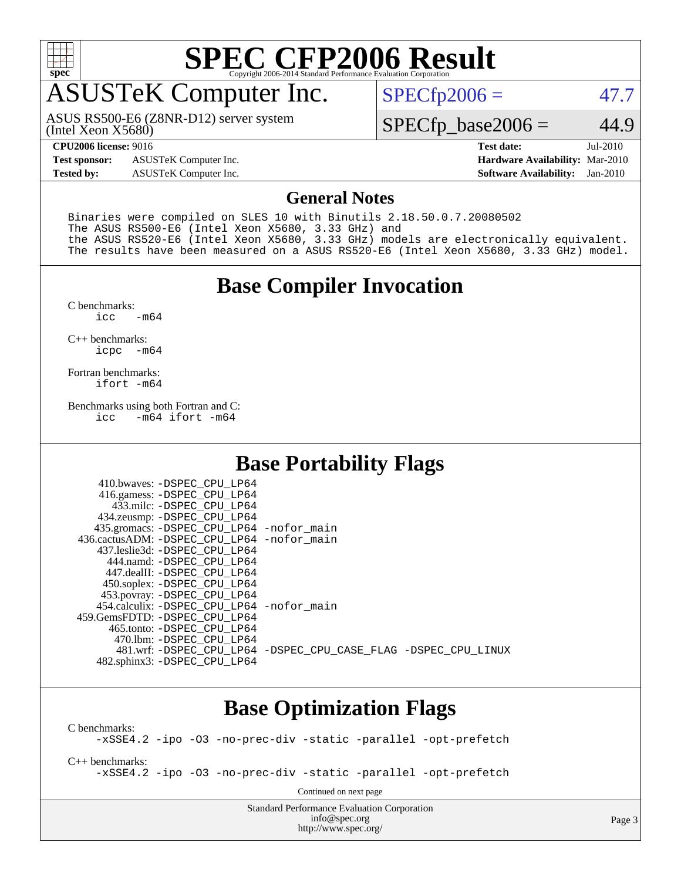

# **[SPEC CFP2006 Result](http://www.spec.org/auto/cpu2006/Docs/result-fields.html#SPECCFP2006Result)**

### ASUSTeK Computer Inc.

(Intel Xeon X5680) ASUS RS500-E6 (Z8NR-D12) server system  $SPECTp2006 = 47.7$ 

#### $SPECfp\_base2006 = 44.9$

**[Test sponsor:](http://www.spec.org/auto/cpu2006/Docs/result-fields.html#Testsponsor)** ASUSTeK Computer Inc. **[Hardware Availability:](http://www.spec.org/auto/cpu2006/Docs/result-fields.html#HardwareAvailability)** Mar-2010

**[CPU2006 license:](http://www.spec.org/auto/cpu2006/Docs/result-fields.html#CPU2006license)** 9016 **[Test date:](http://www.spec.org/auto/cpu2006/Docs/result-fields.html#Testdate)** Jul-2010 **[Tested by:](http://www.spec.org/auto/cpu2006/Docs/result-fields.html#Testedby)** ASUSTeK Computer Inc. **[Software Availability:](http://www.spec.org/auto/cpu2006/Docs/result-fields.html#SoftwareAvailability)** Jan-2010

#### **[General Notes](http://www.spec.org/auto/cpu2006/Docs/result-fields.html#GeneralNotes)**

Binaries were compiled on SLES 10 with Binutils 2.18.50.0.7.20080502 The ASUS RS500-E6 (Intel Xeon X5680, 3.33 GHz) and the ASUS RS520-E6 (Intel Xeon X5680, 3.33 GHz) models are electronically equivalent. The results have been measured on a ASUS RS520-E6 (Intel Xeon X5680, 3.33 GHz) model.

#### **[Base Compiler Invocation](http://www.spec.org/auto/cpu2006/Docs/result-fields.html#BaseCompilerInvocation)**

 $C$  benchmarks:<br>icc  $-m64$ 

[C++ benchmarks:](http://www.spec.org/auto/cpu2006/Docs/result-fields.html#CXXbenchmarks) [icpc -m64](http://www.spec.org/cpu2006/results/res2010q3/cpu2006-20100705-12183.flags.html#user_CXXbase_intel_icpc_64bit_bedb90c1146cab66620883ef4f41a67e)

[Fortran benchmarks](http://www.spec.org/auto/cpu2006/Docs/result-fields.html#Fortranbenchmarks): [ifort -m64](http://www.spec.org/cpu2006/results/res2010q3/cpu2006-20100705-12183.flags.html#user_FCbase_intel_ifort_64bit_ee9d0fb25645d0210d97eb0527dcc06e)

[Benchmarks using both Fortran and C](http://www.spec.org/auto/cpu2006/Docs/result-fields.html#BenchmarksusingbothFortranandC): [icc -m64](http://www.spec.org/cpu2006/results/res2010q3/cpu2006-20100705-12183.flags.html#user_CC_FCbase_intel_icc_64bit_0b7121f5ab7cfabee23d88897260401c) [ifort -m64](http://www.spec.org/cpu2006/results/res2010q3/cpu2006-20100705-12183.flags.html#user_CC_FCbase_intel_ifort_64bit_ee9d0fb25645d0210d97eb0527dcc06e)

 $410 \text{ hwayes: } -$ DSPEC\_CPU\_LP64

#### **[Base Portability Flags](http://www.spec.org/auto/cpu2006/Docs/result-fields.html#BasePortabilityFlags)**

| TIU.UWAYCS. DOFEC CFU LIFUT                  |                                                                |
|----------------------------------------------|----------------------------------------------------------------|
| 416.gamess: -DSPEC_CPU_LP64                  |                                                                |
| 433.milc: -DSPEC CPU LP64                    |                                                                |
| 434.zeusmp: -DSPEC_CPU_LP64                  |                                                                |
| 435.gromacs: -DSPEC_CPU_LP64 -nofor_main     |                                                                |
| 436.cactusADM: - DSPEC CPU LP64 - nofor main |                                                                |
| 437.leslie3d: -DSPEC CPU LP64                |                                                                |
| 444.namd: -DSPEC CPU LP64                    |                                                                |
| 447.dealII: -DSPEC CPU LP64                  |                                                                |
| 450.soplex: -DSPEC_CPU_LP64                  |                                                                |
| 453.povray: -DSPEC_CPU_LP64                  |                                                                |
| 454.calculix: -DSPEC CPU LP64 -nofor main    |                                                                |
| 459. GemsFDTD: - DSPEC CPU LP64              |                                                                |
| 465.tonto: -DSPEC CPU LP64                   |                                                                |
| 470.1bm: - DSPEC CPU LP64                    |                                                                |
|                                              | 481.wrf: -DSPEC_CPU_LP64 -DSPEC_CPU_CASE_FLAG -DSPEC_CPU_LINUX |
| 482.sphinx3: -DSPEC_CPU_LP64                 |                                                                |
|                                              |                                                                |

#### **[Base Optimization Flags](http://www.spec.org/auto/cpu2006/Docs/result-fields.html#BaseOptimizationFlags)**

[C benchmarks](http://www.spec.org/auto/cpu2006/Docs/result-fields.html#Cbenchmarks): [-xSSE4.2](http://www.spec.org/cpu2006/results/res2010q3/cpu2006-20100705-12183.flags.html#user_CCbase_f-xSSE42_f91528193cf0b216347adb8b939d4107) [-ipo](http://www.spec.org/cpu2006/results/res2010q3/cpu2006-20100705-12183.flags.html#user_CCbase_f-ipo) [-O3](http://www.spec.org/cpu2006/results/res2010q3/cpu2006-20100705-12183.flags.html#user_CCbase_f-O3) [-no-prec-div](http://www.spec.org/cpu2006/results/res2010q3/cpu2006-20100705-12183.flags.html#user_CCbase_f-no-prec-div) [-static](http://www.spec.org/cpu2006/results/res2010q3/cpu2006-20100705-12183.flags.html#user_CCbase_f-static) [-parallel](http://www.spec.org/cpu2006/results/res2010q3/cpu2006-20100705-12183.flags.html#user_CCbase_f-parallel) [-opt-prefetch](http://www.spec.org/cpu2006/results/res2010q3/cpu2006-20100705-12183.flags.html#user_CCbase_f-opt-prefetch) [C++ benchmarks:](http://www.spec.org/auto/cpu2006/Docs/result-fields.html#CXXbenchmarks) [-xSSE4.2](http://www.spec.org/cpu2006/results/res2010q3/cpu2006-20100705-12183.flags.html#user_CXXbase_f-xSSE42_f91528193cf0b216347adb8b939d4107) [-ipo](http://www.spec.org/cpu2006/results/res2010q3/cpu2006-20100705-12183.flags.html#user_CXXbase_f-ipo) [-O3](http://www.spec.org/cpu2006/results/res2010q3/cpu2006-20100705-12183.flags.html#user_CXXbase_f-O3) [-no-prec-div](http://www.spec.org/cpu2006/results/res2010q3/cpu2006-20100705-12183.flags.html#user_CXXbase_f-no-prec-div) [-static](http://www.spec.org/cpu2006/results/res2010q3/cpu2006-20100705-12183.flags.html#user_CXXbase_f-static) [-parallel](http://www.spec.org/cpu2006/results/res2010q3/cpu2006-20100705-12183.flags.html#user_CXXbase_f-parallel) [-opt-prefetch](http://www.spec.org/cpu2006/results/res2010q3/cpu2006-20100705-12183.flags.html#user_CXXbase_f-opt-prefetch) Continued on next page

> Standard Performance Evaluation Corporation [info@spec.org](mailto:info@spec.org) <http://www.spec.org/>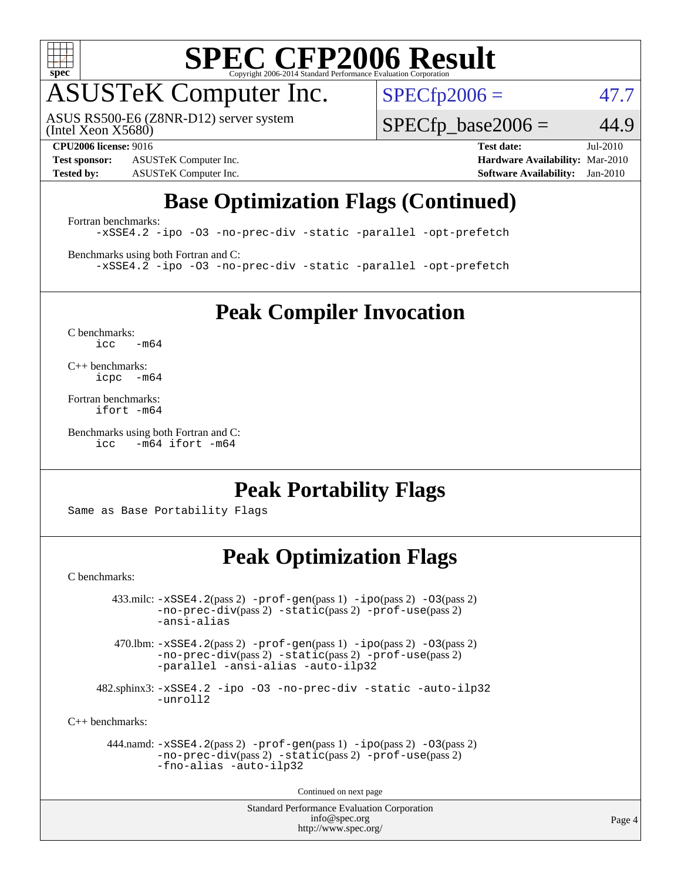

# **[SPEC CFP2006 Result](http://www.spec.org/auto/cpu2006/Docs/result-fields.html#SPECCFP2006Result)**

### ASUSTeK Computer Inc.

ASUS RS500-E6 (Z8NR-D12) server system

 $SPECfp2006 = 47.7$  $SPECfp2006 = 47.7$ 

(Intel Xeon X5680)

**[Test sponsor:](http://www.spec.org/auto/cpu2006/Docs/result-fields.html#Testsponsor)** ASUSTeK Computer Inc. **[Hardware Availability:](http://www.spec.org/auto/cpu2006/Docs/result-fields.html#HardwareAvailability)** Mar-2010 **[Tested by:](http://www.spec.org/auto/cpu2006/Docs/result-fields.html#Testedby)** ASUSTeK Computer Inc. **[Software Availability:](http://www.spec.org/auto/cpu2006/Docs/result-fields.html#SoftwareAvailability)** Jan-2010

 $SPECTp\_base2006 = 44.9$ **[CPU2006 license:](http://www.spec.org/auto/cpu2006/Docs/result-fields.html#CPU2006license)** 9016 **[Test date:](http://www.spec.org/auto/cpu2006/Docs/result-fields.html#Testdate)** Jul-2010

### **[Base Optimization Flags \(Continued\)](http://www.spec.org/auto/cpu2006/Docs/result-fields.html#BaseOptimizationFlags)**

[Fortran benchmarks](http://www.spec.org/auto/cpu2006/Docs/result-fields.html#Fortranbenchmarks): [-xSSE4.2](http://www.spec.org/cpu2006/results/res2010q3/cpu2006-20100705-12183.flags.html#user_FCbase_f-xSSE42_f91528193cf0b216347adb8b939d4107) [-ipo](http://www.spec.org/cpu2006/results/res2010q3/cpu2006-20100705-12183.flags.html#user_FCbase_f-ipo) [-O3](http://www.spec.org/cpu2006/results/res2010q3/cpu2006-20100705-12183.flags.html#user_FCbase_f-O3) [-no-prec-div](http://www.spec.org/cpu2006/results/res2010q3/cpu2006-20100705-12183.flags.html#user_FCbase_f-no-prec-div) [-static](http://www.spec.org/cpu2006/results/res2010q3/cpu2006-20100705-12183.flags.html#user_FCbase_f-static) [-parallel](http://www.spec.org/cpu2006/results/res2010q3/cpu2006-20100705-12183.flags.html#user_FCbase_f-parallel) [-opt-prefetch](http://www.spec.org/cpu2006/results/res2010q3/cpu2006-20100705-12183.flags.html#user_FCbase_f-opt-prefetch)

[Benchmarks using both Fortran and C](http://www.spec.org/auto/cpu2006/Docs/result-fields.html#BenchmarksusingbothFortranandC): [-xSSE4.2](http://www.spec.org/cpu2006/results/res2010q3/cpu2006-20100705-12183.flags.html#user_CC_FCbase_f-xSSE42_f91528193cf0b216347adb8b939d4107) [-ipo](http://www.spec.org/cpu2006/results/res2010q3/cpu2006-20100705-12183.flags.html#user_CC_FCbase_f-ipo) [-O3](http://www.spec.org/cpu2006/results/res2010q3/cpu2006-20100705-12183.flags.html#user_CC_FCbase_f-O3) [-no-prec-div](http://www.spec.org/cpu2006/results/res2010q3/cpu2006-20100705-12183.flags.html#user_CC_FCbase_f-no-prec-div) [-static](http://www.spec.org/cpu2006/results/res2010q3/cpu2006-20100705-12183.flags.html#user_CC_FCbase_f-static) [-parallel](http://www.spec.org/cpu2006/results/res2010q3/cpu2006-20100705-12183.flags.html#user_CC_FCbase_f-parallel) [-opt-prefetch](http://www.spec.org/cpu2006/results/res2010q3/cpu2006-20100705-12183.flags.html#user_CC_FCbase_f-opt-prefetch)

**[Peak Compiler Invocation](http://www.spec.org/auto/cpu2006/Docs/result-fields.html#PeakCompilerInvocation)**

[C benchmarks](http://www.spec.org/auto/cpu2006/Docs/result-fields.html#Cbenchmarks):  $i<sub>c</sub>$   $-m64$ 

[C++ benchmarks:](http://www.spec.org/auto/cpu2006/Docs/result-fields.html#CXXbenchmarks) [icpc -m64](http://www.spec.org/cpu2006/results/res2010q3/cpu2006-20100705-12183.flags.html#user_CXXpeak_intel_icpc_64bit_bedb90c1146cab66620883ef4f41a67e)

[Fortran benchmarks](http://www.spec.org/auto/cpu2006/Docs/result-fields.html#Fortranbenchmarks): [ifort -m64](http://www.spec.org/cpu2006/results/res2010q3/cpu2006-20100705-12183.flags.html#user_FCpeak_intel_ifort_64bit_ee9d0fb25645d0210d97eb0527dcc06e)

[Benchmarks using both Fortran and C](http://www.spec.org/auto/cpu2006/Docs/result-fields.html#BenchmarksusingbothFortranandC): [icc -m64](http://www.spec.org/cpu2006/results/res2010q3/cpu2006-20100705-12183.flags.html#user_CC_FCpeak_intel_icc_64bit_0b7121f5ab7cfabee23d88897260401c) [ifort -m64](http://www.spec.org/cpu2006/results/res2010q3/cpu2006-20100705-12183.flags.html#user_CC_FCpeak_intel_ifort_64bit_ee9d0fb25645d0210d97eb0527dcc06e)

#### **[Peak Portability Flags](http://www.spec.org/auto/cpu2006/Docs/result-fields.html#PeakPortabilityFlags)**

Same as Base Portability Flags

#### **[Peak Optimization Flags](http://www.spec.org/auto/cpu2006/Docs/result-fields.html#PeakOptimizationFlags)**

[C benchmarks](http://www.spec.org/auto/cpu2006/Docs/result-fields.html#Cbenchmarks):

 $433 \text{.}$ milc:  $-xSSE4$ .  $2(pass 2)$  - $prof-gen(pass 1)$  - $ipo(pass 2)$  [-O3](http://www.spec.org/cpu2006/results/res2010q3/cpu2006-20100705-12183.flags.html#user_peakPASS2_CFLAGSPASS2_LDFLAGS433_milc_f-O3) $(pass 2)$ [-no-prec-div](http://www.spec.org/cpu2006/results/res2010q3/cpu2006-20100705-12183.flags.html#user_peakPASS2_CFLAGSPASS2_LDFLAGS433_milc_f-no-prec-div)(pass 2) [-static](http://www.spec.org/cpu2006/results/res2010q3/cpu2006-20100705-12183.flags.html#user_peakPASS2_CFLAGSPASS2_LDFLAGS433_milc_f-static)(pass 2) [-prof-use](http://www.spec.org/cpu2006/results/res2010q3/cpu2006-20100705-12183.flags.html#user_peakPASS2_CFLAGSPASS2_LDFLAGS433_milc_prof_use_bccf7792157ff70d64e32fe3e1250b55)(pass 2) [-ansi-alias](http://www.spec.org/cpu2006/results/res2010q3/cpu2006-20100705-12183.flags.html#user_peakOPTIMIZE433_milc_f-ansi-alias)

 470.lbm: [-xSSE4.2](http://www.spec.org/cpu2006/results/res2010q3/cpu2006-20100705-12183.flags.html#user_peakPASS2_CFLAGSPASS2_LDFLAGS470_lbm_f-xSSE42_f91528193cf0b216347adb8b939d4107)(pass 2) [-prof-gen](http://www.spec.org/cpu2006/results/res2010q3/cpu2006-20100705-12183.flags.html#user_peakPASS1_CFLAGSPASS1_LDFLAGS470_lbm_prof_gen_e43856698f6ca7b7e442dfd80e94a8fc)(pass 1) [-ipo](http://www.spec.org/cpu2006/results/res2010q3/cpu2006-20100705-12183.flags.html#user_peakPASS2_CFLAGSPASS2_LDFLAGS470_lbm_f-ipo)(pass 2) [-O3](http://www.spec.org/cpu2006/results/res2010q3/cpu2006-20100705-12183.flags.html#user_peakPASS2_CFLAGSPASS2_LDFLAGS470_lbm_f-O3)(pass 2) [-no-prec-div](http://www.spec.org/cpu2006/results/res2010q3/cpu2006-20100705-12183.flags.html#user_peakPASS2_CFLAGSPASS2_LDFLAGS470_lbm_f-no-prec-div)(pass 2) [-static](http://www.spec.org/cpu2006/results/res2010q3/cpu2006-20100705-12183.flags.html#user_peakPASS2_CFLAGSPASS2_LDFLAGS470_lbm_f-static)(pass 2) [-prof-use](http://www.spec.org/cpu2006/results/res2010q3/cpu2006-20100705-12183.flags.html#user_peakPASS2_CFLAGSPASS2_LDFLAGS470_lbm_prof_use_bccf7792157ff70d64e32fe3e1250b55)(pass 2) [-parallel](http://www.spec.org/cpu2006/results/res2010q3/cpu2006-20100705-12183.flags.html#user_peakOPTIMIZE470_lbm_f-parallel) [-ansi-alias](http://www.spec.org/cpu2006/results/res2010q3/cpu2006-20100705-12183.flags.html#user_peakOPTIMIZE470_lbm_f-ansi-alias) [-auto-ilp32](http://www.spec.org/cpu2006/results/res2010q3/cpu2006-20100705-12183.flags.html#user_peakCOPTIMIZE470_lbm_f-auto-ilp32)

 482.sphinx3: [-xSSE4.2](http://www.spec.org/cpu2006/results/res2010q3/cpu2006-20100705-12183.flags.html#user_peakOPTIMIZE482_sphinx3_f-xSSE42_f91528193cf0b216347adb8b939d4107) [-ipo](http://www.spec.org/cpu2006/results/res2010q3/cpu2006-20100705-12183.flags.html#user_peakOPTIMIZE482_sphinx3_f-ipo) [-O3](http://www.spec.org/cpu2006/results/res2010q3/cpu2006-20100705-12183.flags.html#user_peakOPTIMIZE482_sphinx3_f-O3) [-no-prec-div](http://www.spec.org/cpu2006/results/res2010q3/cpu2006-20100705-12183.flags.html#user_peakOPTIMIZE482_sphinx3_f-no-prec-div) [-static](http://www.spec.org/cpu2006/results/res2010q3/cpu2006-20100705-12183.flags.html#user_peakOPTIMIZE482_sphinx3_f-static) [-auto-ilp32](http://www.spec.org/cpu2006/results/res2010q3/cpu2006-20100705-12183.flags.html#user_peakCOPTIMIZE482_sphinx3_f-auto-ilp32) [-unroll2](http://www.spec.org/cpu2006/results/res2010q3/cpu2006-20100705-12183.flags.html#user_peakCOPTIMIZE482_sphinx3_f-unroll_784dae83bebfb236979b41d2422d7ec2)

[C++ benchmarks:](http://www.spec.org/auto/cpu2006/Docs/result-fields.html#CXXbenchmarks)

```
 444.namd: -xSSE4.2(pass 2) -prof-gen(pass 1) -ipo(pass 2) -O3(pass 2)
-no-prec-div(pass 2) -static(pass 2) -prof-use(pass 2)
-fno-alias -auto-ilp32
```
Continued on next page

Standard Performance Evaluation Corporation [info@spec.org](mailto:info@spec.org) <http://www.spec.org/>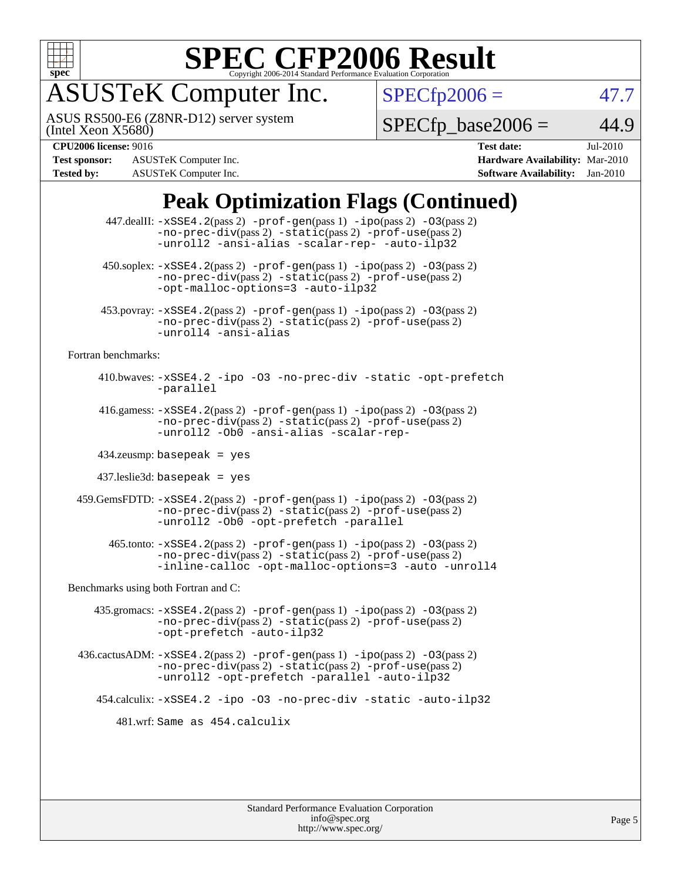

# **[SPEC CFP2006 Result](http://www.spec.org/auto/cpu2006/Docs/result-fields.html#SPECCFP2006Result)**

## ASUSTeK Computer Inc.

ASUS RS500-E6 (Z8NR-D12) server system

 $SPECfp2006 = 47.7$  $SPECfp2006 = 47.7$ 

(Intel Xeon X5680)

**[Test sponsor:](http://www.spec.org/auto/cpu2006/Docs/result-fields.html#Testsponsor)** ASUSTeK Computer Inc. **[Hardware Availability:](http://www.spec.org/auto/cpu2006/Docs/result-fields.html#HardwareAvailability)** Mar-2010 **[Tested by:](http://www.spec.org/auto/cpu2006/Docs/result-fields.html#Testedby)** ASUSTeK Computer Inc. **[Software Availability:](http://www.spec.org/auto/cpu2006/Docs/result-fields.html#SoftwareAvailability)** Jan-2010

**[CPU2006 license:](http://www.spec.org/auto/cpu2006/Docs/result-fields.html#CPU2006license)** 9016 **[Test date:](http://www.spec.org/auto/cpu2006/Docs/result-fields.html#Testdate)** Jul-2010

 $SPECfp\_base2006 = 44.9$ 

#### **[Peak Optimization Flags \(Continued\)](http://www.spec.org/auto/cpu2006/Docs/result-fields.html#PeakOptimizationFlags)**

|                                                                  | 447.dealII: -xSSE4.2(pass 2) -prof-gen(pass 1) -ipo(pass 2) -03(pass 2)<br>$-no-prec-div(pass 2) -static(pass 2) -prof-use(pass 2)$<br>-unroll2 -ansi-alias -scalar-rep- -auto-ilp32    |  |  |  |  |
|------------------------------------------------------------------|-----------------------------------------------------------------------------------------------------------------------------------------------------------------------------------------|--|--|--|--|
|                                                                  | 450.soplex: -xSSE4.2(pass 2) -prof-gen(pass 1) -ipo(pass 2) -03(pass 2)<br>-no-prec-div(pass 2) -static(pass 2) -prof-use(pass 2)<br>-opt-malloc-options=3 -auto-ilp32                  |  |  |  |  |
|                                                                  | 453.povray: -xSSE4.2(pass 2) -prof-gen(pass 1) -ipo(pass 2) -03(pass 2)<br>-no-prec-div(pass 2) -static(pass 2) -prof-use(pass 2)<br>-unroll4 -ansi-alias                               |  |  |  |  |
| Fortran benchmarks:                                              |                                                                                                                                                                                         |  |  |  |  |
|                                                                  | 410.bwaves: -xSSE4.2 -ipo -03 -no-prec-div -static -opt-prefetch<br>-parallel                                                                                                           |  |  |  |  |
|                                                                  | 416.gamess: $-xSSE4$ . 2(pass 2) $-prof-gen(pass 1) -ipo(pass 2) -O3(pass 2)$<br>-no-prec-div(pass 2) -static(pass 2) -prof-use(pass 2)<br>-unroll2 -Ob0 -ansi-alias -scalar-rep-       |  |  |  |  |
|                                                                  | $434$ .zeusmp: basepeak = yes                                                                                                                                                           |  |  |  |  |
| $437$ .leslie3d: basepeak = yes                                  |                                                                                                                                                                                         |  |  |  |  |
|                                                                  | 459. GemsFDTD: -xSSE4. 2(pass 2) -prof-gen(pass 1) -ipo(pass 2) -03(pass 2)<br>$-no-prec-div(pass 2) -static(pass 2) -prot-use(pass 2)$<br>-unroll2 -0b0 -opt-prefetch -parallel        |  |  |  |  |
|                                                                  | 465.tonto: -xSSE4.2(pass 2) -prof-gen(pass 1) -ipo(pass 2) -03(pass 2)<br>-no-prec-div(pass 2) -static(pass 2) -prof-use(pass 2)<br>-inline-calloc -opt-malloc-options=3 -auto -unroll4 |  |  |  |  |
| Benchmarks using both Fortran and C:                             |                                                                                                                                                                                         |  |  |  |  |
|                                                                  | 435.gromacs: $-xSSE4$ . 2(pass 2) $-prof$ -gen(pass 1) $-ipo$ (pass 2) $-O3$ (pass 2)<br>-no-prec-div(pass 2) -static(pass 2) -prof-use(pass 2)<br>-opt-prefetch -auto-ilp32            |  |  |  |  |
|                                                                  | 436.cactusADM: -xSSE4.2(pass 2) -prof-gen(pass 1) -ipo(pass 2) -03(pass 2)<br>$-no-prec-div(pass 2) -static(pass 2) -prof-use(pass 2)$<br>-unroll2 -opt-prefetch -parallel -auto-ilp32  |  |  |  |  |
| 454.calculix: -xSSE4.2 -ipo -03 -no-prec-div -static -auto-ilp32 |                                                                                                                                                                                         |  |  |  |  |
| 481.wrf: Same as 454.calculix                                    |                                                                                                                                                                                         |  |  |  |  |
|                                                                  |                                                                                                                                                                                         |  |  |  |  |